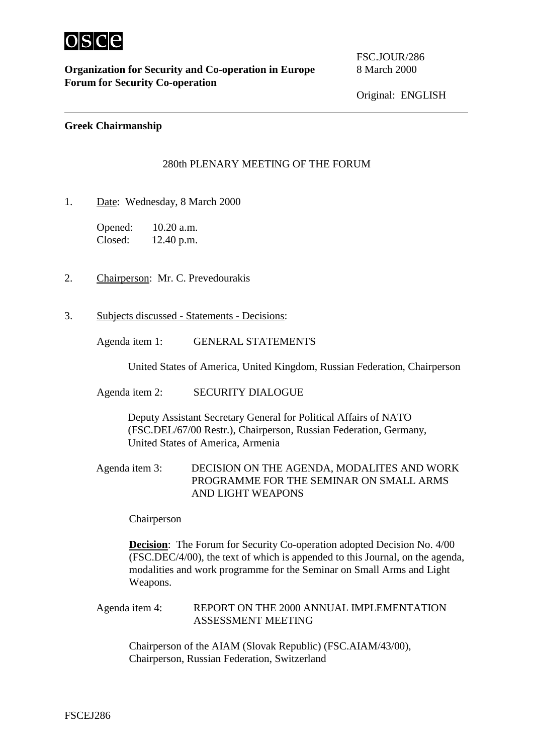

 $\overline{a}$ 

## **Greek Chairmanship**

## 280th PLENARY MEETING OF THE FORUM

1. Date: Wednesday, 8 March 2000

| Opened: | $10.20$ a.m. |
|---------|--------------|
| Closed: | 12.40 p.m.   |

- 2. Chairperson: Mr. C. Prevedourakis
- 3. Subjects discussed Statements Decisions:

Agenda item 1: GENERAL STATEMENTS

United States of America, United Kingdom, Russian Federation, Chairperson

Agenda item 2: SECURITY DIALOGUE

Deputy Assistant Secretary General for Political Affairs of NATO (FSC.DEL/67/00 Restr.), Chairperson, Russian Federation, Germany, United States of America, Armenia

Agenda item 3: DECISION ON THE AGENDA, MODALITES AND WORK PROGRAMME FOR THE SEMINAR ON SMALL ARMS AND LIGHT WEAPONS

Chairperson

**Decision:** The Forum for Security Co-operation adopted Decision No. 4/00 (FSC.DEC/4/00), the text of which is appended to this Journal, on the agenda, modalities and work programme for the Seminar on Small Arms and Light Weapons.

Agenda item 4: REPORT ON THE 2000 ANNUAL IMPLEMENTATION ASSESSMENT MEETING

Chairperson of the AIAM (Slovak Republic) (FSC.AIAM/43/00), Chairperson, Russian Federation, Switzerland